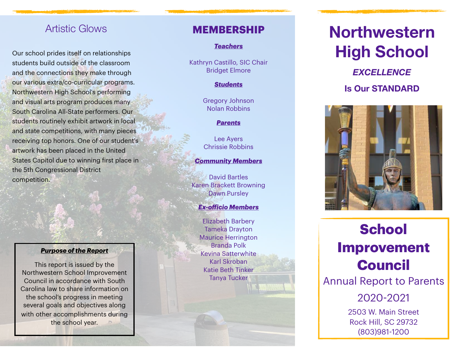# Artistic Glows

Our school prides itself on relationships students build outside of the classroom and the connections they make through our various extra/co-curricular programs. Northwestern High School's performing and visual arts program produces many South Carolina All-State performers. Our students routinely exhibit artwork in local and state competitions, with many pieces receiving top honors. One of our student's artwork has been placed in the United States Capitol due to winning first place in the 5th Congressional District competition.

#### *Purpose of the Report*

This report is issued by the Northwestern School Improvement Council in accordance with South Carolina law to share information on the school's progress in meeting several goals and objectives along with other accomplishments during the school year.

### **MEMBERSHIP**

### *Teachers*

Kathryn Castillo, SIC Chair Bridget Elmore

#### *Students*

Gregory Johnson Nolan Robbins

#### *Parents*

Lee Ayers Chrissie Robbins

#### *Community Members*

David Bartles Karen Brackett Browning Dawn Pursley

*Ex-o ficio Members* Elizabeth Barbery Tameka Drayton Maurice Herrington Branda Polk Kevina Satterwhite Karl Skroban Katie Beth Tinker Tanya Tucker

# **Northwestern High School**

*EXCELLENCE* **Is Our STANDARD**



# **School Improvement Council** Annual Report to Parents

2020 -2021

2503 W. Main Street Rock Hill, SC 29732 (803)981 -1200